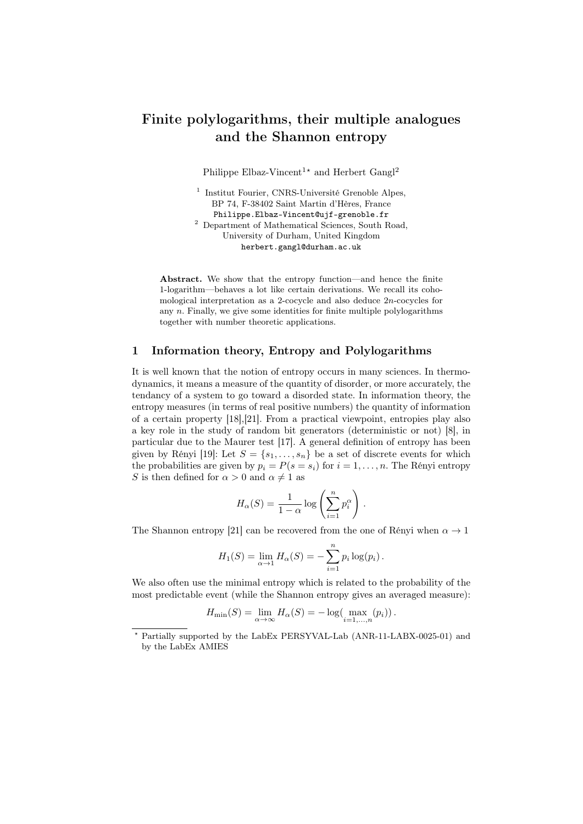# Finite polylogarithms, their multiple analogues and the Shannon entropy

Philippe Elbaz-Vincent<sup>1</sup><sup>★</sup> and Herbert Gangl<sup>2</sup>

<sup>1</sup> Institut Fourier, CNRS-Université Grenoble Alpes, BP 74, F-38402 Saint Martin d'Hères, France Philippe.Elbaz-Vincent@ujf-grenoble.fr <sup>2</sup> Department of Mathematical Sciences, South Road, University of Durham, United Kingdom herbert.gangl@durham.ac.uk

Abstract. We show that the entropy function—and hence the finite 1-logarithm—behaves a lot like certain derivations. We recall its cohomological interpretation as a 2-cocycle and also deduce 2*n*-cocycles for any *n*. Finally, we give some identities for finite multiple polylogarithms together with number theoretic applications.

## 1 Information theory, Entropy and Polylogarithms

It is well known that the notion of entropy occurs in many sciences. In thermodynamics, it means a measure of the quantity of disorder, or more accurately, the tendancy of a system to go toward a disorded state. In information theory, the entropy measures (in terms of real positive numbers) the quantity of information of a certain property [18],[21]. From a practical viewpoint, entropies play also a key role in the study of random bit generators (deterministic or not) [8], in particular due to the Maurer test [17]. A general definition of entropy has been given by Rényi [19]: Let  $S = \{s_1, \ldots, s_n\}$  be a set of discrete events for which the probabilities are given by  $p_i = P(s = s_i)$  for  $i = 1, \ldots, n$ . The Rényi entropy *S* is then defined for  $\alpha > 0$  and  $\alpha \neq 1$  as

$$
H_{\alpha}(S) = \frac{1}{1-\alpha} \log \left( \sum_{i=1}^{n} p_i^{\alpha} \right).
$$

The Shannon entropy [21] can be recovered from the one of Rényi when  $\alpha \to 1$ 

$$
H_1(S) = \lim_{\alpha \to 1} H_{\alpha}(S) = -\sum_{i=1}^n p_i \log(p_i).
$$

We also often use the minimal entropy which is related to the probability of the most predictable event (while the Shannon entropy gives an averaged measure):

$$
H_{\min}(S) = \lim_{\alpha \to \infty} H_{\alpha}(S) = -\log(\max_{i=1,...,n}(p_i)).
$$

*<sup>⋆</sup>* Partially supported by the LabEx PERSYVAL-Lab (ANR-11-LABX-0025-01) and by the LabEx AMIES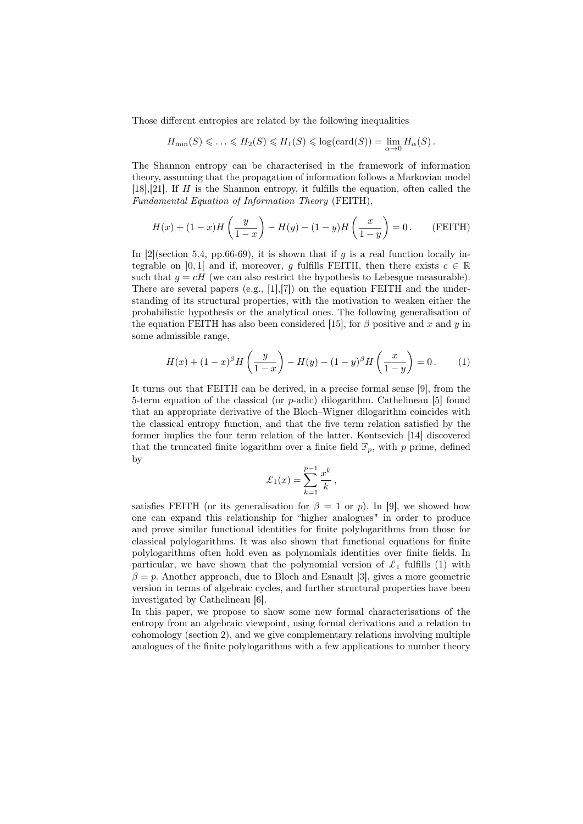Those different entropies are related by the following inequalities

$$
H_{\min}(S) \leq \ldots \leq H_2(S) \leq H_1(S) \leq \log(\text{card}(S)) = \lim_{\alpha \to 0} H_{\alpha}(S).
$$

The Shannon entropy can be characterised in the framework of information theory, assuming that the propagation of information follows a Markovian model [18],[21]. If *H* is the Shannon entropy, it fulfills the equation, often called the *Fundamental Equation of Information Theory* (FEITH),

$$
H(x) + (1 - x)H\left(\frac{y}{1 - x}\right) - H(y) - (1 - y)H\left(\frac{x}{1 - y}\right) = 0.
$$
 (FEITH)

In  $[2]$ (section 5.4, pp.66-69), it is shown that if *q* is a real function locally integrable on [0, 1] and if, moreover, *q* fulfills FEITH, then there exists  $c \in \mathbb{R}$ such that  $q = cH$  (we can also restrict the hypothesis to Lebesgue measurable). There are several papers (e.g.,  $[1],[7]$ ) on the equation FEITH and the understanding of its structural properties, with the motivation to weaken either the probabilistic hypothesis or the analytical ones. The following generalisation of the equation FEITH has also been considered [15], for  $\beta$  positive and *x* and *y* in some admissible range,

$$
H(x) + (1 - x)^{\beta} H\left(\frac{y}{1 - x}\right) - H(y) - (1 - y)^{\beta} H\left(\frac{x}{1 - y}\right) = 0.
$$
 (1)

It turns out that FEITH can be derived, in a precise formal sense [9], from the 5-term equation of the classical (or *p*-adic) dilogarithm. Cathelineau [5] found that an appropriate derivative of the Bloch–Wigner dilogarithm coincides with the classical entropy function, and that the five term relation satisfied by the former implies the four term relation of the latter. Kontsevich [14] discovered that the truncated finite logarithm over a finite field  $\mathbb{F}_p$ , with p prime, defined by

$$
\mathcal{L}_1(x) = \sum_{k=1}^{p-1} \frac{x^k}{k},
$$

satisfies FEITH (or its generalisation for  $\beta = 1$  or *p*). In [9], we showed how one can expand this relationship for "higher analogues" in order to produce and prove similar functional identities for finite polylogarithms from those for classical polylogarithms. It was also shown that functional equations for finite polylogarithms often hold even as polynomials identities over finite fields. In particular, we have shown that the polynomial version of  $\mathcal{L}_1$  fulfills (1) with  $\beta = p$ . Another approach, due to Bloch and Esnault [3], gives a more geometric version in terms of algebraic cycles, and further structural properties have been investigated by Cathelineau [6].

In this paper, we propose to show some new formal characterisations of the entropy from an algebraic viewpoint, using formal derivations and a relation to cohomology (section 2), and we give complementary relations involving multiple analogues of the finite polylogarithms with a few applications to number theory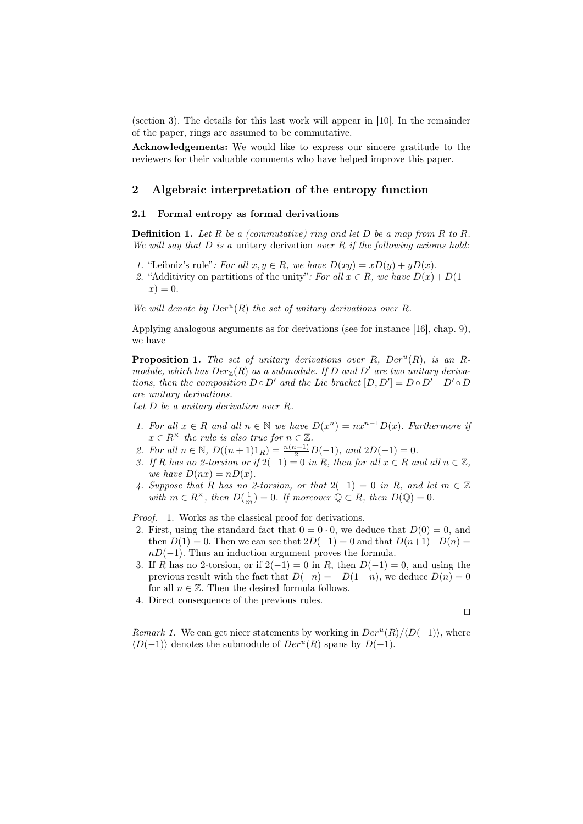(section 3). The details for this last work will appear in [10]. In the remainder of the paper, rings are assumed to be commutative.

Acknowledgements: We would like to express our sincere gratitude to the reviewers for their valuable comments who have helped improve this paper.

## 2 Algebraic interpretation of the entropy function

#### 2.1 Formal entropy as formal derivations

Definition 1. *Let R be a (commutative) ring and let D be a map from R to R. We will say that D is a* unitary derivation *over R if the following axioms hold:*

- *1.* "Leibniz's rule": For all  $x, y \in R$ , we have  $D(xy) = xD(y) + yD(x)$ .
- 2. "Additivity on partitions of the unity": For all  $x \in R$ , we have  $D(x) + D(1$  $x) = 0.$

We will denote by  $Der^{u}(R)$  the set of unitary derivations over  $R$ *.* 

Applying analogous arguments as for derivations (see for instance [16], chap. 9), we have

Proposition 1. *The set of unitary derivations over R, Der<sup>u</sup>* (*R*)*, is an Rmodule, which has*  $Der_{\mathbb{Z}}(R)$  *as a submodule. If D and D' are two unitary derivations, then the composition*  $D \circ D'$  *and the Lie bracket*  $[D, D'] = D \circ D' - D' \circ D$ *are unitary derivations.*

*Let D be a unitary derivation over R.*

- *1.* For all  $x \in R$  and all  $n \in \mathbb{N}$  we have  $D(x^n) = nx^{n-1}D(x)$ . Furthermore if  $x \in R^\times$  *the rule is also true for*  $n \in \mathbb{Z}$ *.*
- *2. For all*  $n \in \mathbb{N}$ ,  $D((n+1)1_R) = \frac{n(n+1)}{2}D(-1)$ , and  $2D(-1) = 0$ .
- *3. If*  $R$  *has no 2-torsion or if*  $2(-1) = 0$  *in*  $R$ *, then for all*  $x \in R$  *and all*  $n \in \mathbb{Z}$ *, we have*  $D(nx) = nD(x)$ .
- *4. Suppose that R has no 2-torsion, or that* 2(*−*1) = 0 *in R, and let m ∈* Z *with*  $m \in R^{\times}$ , then  $D(\frac{1}{m}) = 0$ . If moreover  $\mathbb{Q} \subset R$ , then  $D(\mathbb{Q}) = 0$ .

*Proof.* 1. Works as the classical proof for derivations.

- 2. First, using the standard fact that  $0 = 0 \cdot 0$ , we deduce that  $D(0) = 0$ , and then  $D(1) = 0$ . Then we can see that  $2D(-1) = 0$  and that  $D(n+1) - D(n) =$ *nD*(−1). Thus an induction argument proves the formula.
- 3. If *R* has no 2-torsion, or if  $2(-1) = 0$  in *R*, then  $D(-1) = 0$ , and using the previous result with the fact that  $D(-n) = -D(1+n)$ , we deduce  $D(n) = 0$ for all  $n \in \mathbb{Z}$ . Then the desired formula follows.
- 4. Direct consequence of the previous rules.

$$
\qquad \qquad \Box
$$

*Remark 1.* We can get nicer statements by working in  $Der^{u}(R)/\langle D(-1)\rangle$ , where  $\langle D(-1) \rangle$  denotes the submodule of  $Der^{u}(R)$  spans by  $D(-1)$ .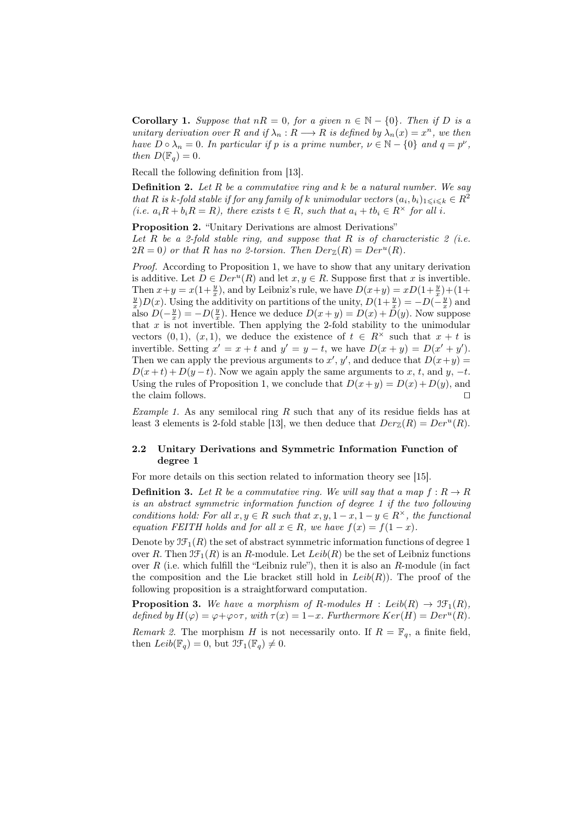**Corollary 1.** *Suppose that*  $nR = 0$ *, for a given*  $n \in \mathbb{N} - \{0\}$ *. Then if D is a unitary derivation over R and if*  $\lambda_n$  :  $R \longrightarrow R$  *is defined by*  $\lambda_n(x) = x^n$ *, we then have*  $D \circ \lambda_n = 0$ *. In particular if*  $p$  *is a prime number,*  $\nu \in \mathbb{N} - \{0\}$  *and*  $q = p^{\nu}$ *, then*  $D(\mathbb{F}_q) = 0$ *.* 

Recall the following definition from [13].

Definition 2. *Let R be a commutative ring and k be a natural number. We say that R is k-fold stable if for any family of k unimodular vectors*  $(a_i, b_i)_{1 \leq i \leq k} \in R^2$ (*i.e.*  $a_i R + b_i R = R$ ), there exists  $t \in R$ , such that  $a_i + t b_i \in R^{\times}$  for all *i*.

Proposition 2. "Unitary Derivations are almost Derivations" *Let R be a 2-fold stable ring, and suppose that R is of characteristic 2 (i.e.*  $2R = 0$ ) or that *R* has no 2-torsion. Then  $Der_{\mathbb{Z}}(R) = Der^{u}(R)$ .

*Proof.* According to Proposition 1, we have to show that any unitary derivation is additive. Let  $D \in Der^u(R)$  and let  $x, y \in R$ . Suppose first that  $x$  is invertible. Then  $x+y = x(1+\frac{y}{x})$ , and by Leibniz's rule, we have  $D(x+y) = xD(1+\frac{y}{x}) + (1+\frac{z}{x})$  $\frac{y}{x}$ )*D*(*x*)*.* Using the additivity on partitions of the unity,  $D(1+\frac{y}{x}) = -D(-\frac{y}{x})$  and also  $D(-\frac{y}{x}) = -D(\frac{y}{x})$ . Hence we deduce  $D(x+y) = D(x) + D(y)$ . Now suppose that  $x$  is not invertible. Then applying the 2-fold stability to the unimodular vectors  $(0,1)$ ,  $(x,1)$ , we deduce the existence of  $t \in R^{\times}$  such that  $x + t$  is invertible. Setting  $x' = x + t$  and  $y' = y - t$ , we have  $D(x + y) = D(x' + y')$ . Then we can apply the previous arguments to  $x'$ ,  $y'$ , and deduce that  $D(x+y)$  $D(x+t)+D(y-t)$ . Now we again apply the same arguments to *x*, *t*, and *y*, *−t*. Using the rules of Proposition 1, we conclude that  $D(x+y) = D(x) + D(y)$ , and the claim follows. *⊓⊔*

*Example 1.* As any semilocal ring R such that any of its residue fields has at least 3 elements is 2-fold stable [13], we then deduce that  $Der_{\mathbb{Z}}(R) = Der^u(R)$ .

## 2.2 Unitary Derivations and Symmetric Information Function of degree 1

For more details on this section related to information theory see [15].

**Definition 3.** Let R be a commutative ring. We will say that a map  $f: R \to R$ *is an abstract symmetric information function of degree 1 if the two following conditions hold: For all*  $x, y \in R$  *such that*  $x, y, 1 - x, 1 - y \in R^\times$ , the functional *equation FEITH holds and for all*  $x \in R$ *, we have*  $f(x) = f(1-x)$ *.* 

Denote by  $\mathfrak{IF}_1(R)$  the set of abstract symmetric information functions of degree 1 over *R*. Then  $\mathfrak{IF}_1(R)$  is an *R*-module. Let  $Leib(R)$  be the set of Leibniz functions over *R* (i.e. which fulfill the "Leibniz rule"), then it is also an *R*-module (in fact the composition and the Lie bracket still hold in  $Leib(R)$ ). The proof of the following proposition is a straightforward computation.

**Proposition 3.** We have a morphism of *R*-modules  $H : Leib(R) \rightarrow \mathfrak{IF}_1(R)$ , *defined by*  $H(\varphi) = \varphi + \varphi \circ \tau$ *, with*  $\tau(x) = 1 - x$ *. Furthermore*  $Ker(H) = Der^{u}(R)$ *.* 

*Remark 2.* The morphism *H* is not necessarily onto. If  $R = \mathbb{F}_q$ , a finite field, then  $Leib(\mathbb{F}_q) = 0$ , but  $\mathfrak{IF}_1(\mathbb{F}_q) \neq 0$ .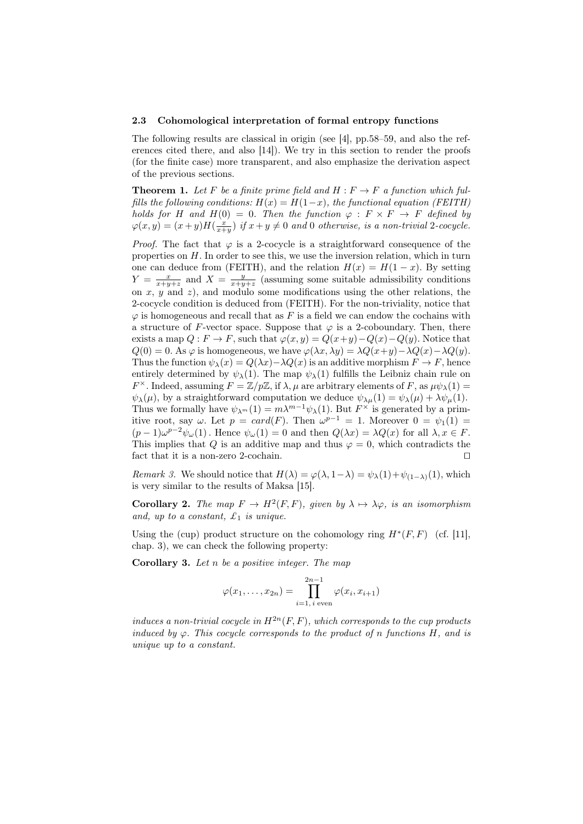#### 2.3 Cohomological interpretation of formal entropy functions

The following results are classical in origin (see [4], pp.58–59, and also the references cited there, and also [14]). We try in this section to render the proofs (for the finite case) more transparent, and also emphasize the derivation aspect of the previous sections.

**Theorem 1.** Let F be a finite prime field and  $H : F \to F$  a function which ful*fills the following conditions:*  $H(x) = H(1-x)$ *, the functional equation (FEITH) holds for H* and  $H(0) = 0$ *. Then the function*  $\varphi : F \times F \to F$  *defined by*  $\varphi(x,y) = (x+y)H(\frac{x}{x+y})$  *if*  $x+y \neq 0$  and 0 otherwise, is a non-trivial 2-cocycle.

*Proof.* The fact that  $\varphi$  is a 2-cocycle is a straightforward consequence of the properties on *H*. In order to see this, we use the inversion relation, which in turn one can deduce from (FEITH), and the relation  $H(x) = H(1-x)$ . By setting  $Y = \frac{x}{x+y+z}$  and  $X = \frac{y}{x+y+z}$  (assuming some suitable admissibility conditions on *x*, *y* and *z*), and modulo some modifications using the other relations, the 2-cocycle condition is deduced from (FEITH). For the non-triviality, notice that  $\varphi$  is homogeneous and recall that as  $F$  is a field we can endow the cochains with a structure of *F*-vector space. Suppose that  $\varphi$  is a 2-coboundary. Then, there exists a map  $Q: F \to F$ , such that  $\varphi(x, y) = Q(x+y) - Q(x) - Q(y)$ . Notice that  $Q(0) = 0$ . As  $\varphi$  is homogeneous, we have  $\varphi(\lambda x, \lambda y) = \lambda Q(x+y) - \lambda Q(x) - \lambda Q(y)$ . Thus the function  $\psi_{\lambda}(x) = Q(\lambda x) - \lambda Q(x)$  is an additive morphism  $F \to F$ , hence entirely determined by  $\psi_{\lambda}(1)$ . The map  $\psi_{\lambda}(1)$  fulfills the Leibniz chain rule on *F*<sup> $\times$ </sup>. Indeed, assuming *F* = Z/*p*Z, if  $\lambda$ ,  $\mu$  are arbitrary elements of *F*, as  $\mu \psi_{\lambda}(1)$  =  $\psi_{\lambda}(\mu)$ , by a straightforward computation we deduce  $\psi_{\lambda\mu}(1) = \psi_{\lambda}(\mu) + \lambda \psi_{\mu}(1)$ . Thus we formally have  $\psi_{\lambda^m}(1) = m\lambda^{m-1}\psi_{\lambda}(1)$ . But  $F^{\times}$  is generated by a primitive root, say  $\omega$ . Let  $p = card(F)$ . Then  $\omega^{p-1} = 1$ . Moreover  $0 = \psi_1(1) =$  $(p-1)\omega^{p-2}\psi_{\omega}(1)$ . Hence  $\psi_{\omega}(1) = 0$  and then  $Q(\lambda x) = \lambda Q(x)$  for all  $\lambda, x \in F$ . This implies that *Q* is an additive map and thus  $\varphi = 0$ , which contradicts the fact that it is a non-zero 2-cochain. *⊓⊔*

*Remark 3.* We should notice that  $H(\lambda) = \varphi(\lambda, 1-\lambda) = \psi_{\lambda}(1) + \psi_{(1-\lambda)}(1)$ , which is very similar to the results of Maksa [15].

**Corollary 2.** *The map*  $F \to H^2(F, F)$ *, given by*  $\lambda \mapsto \lambda \varphi$ *, is an isomorphism and, up to a constant, £*<sup>1</sup> *is unique.*

Using the (cup) product structure on the cohomology ring  $H^*(F, F)$  (cf. [11], chap. 3), we can check the following property:

Corollary 3. *Let n be a positive integer. The map*

$$
\varphi(x_1,...,x_{2n}) = \prod_{i=1, i \text{ even}}^{2n-1} \varphi(x_i, x_{i+1})
$$

*induces a non-trivial cocycle in*  $H^{2n}(F, F)$ *, which corresponds to the cup products induced by*  $\varphi$ *. This cocycle corresponds to the product of n functions*  $H$ *, and is unique up to a constant.*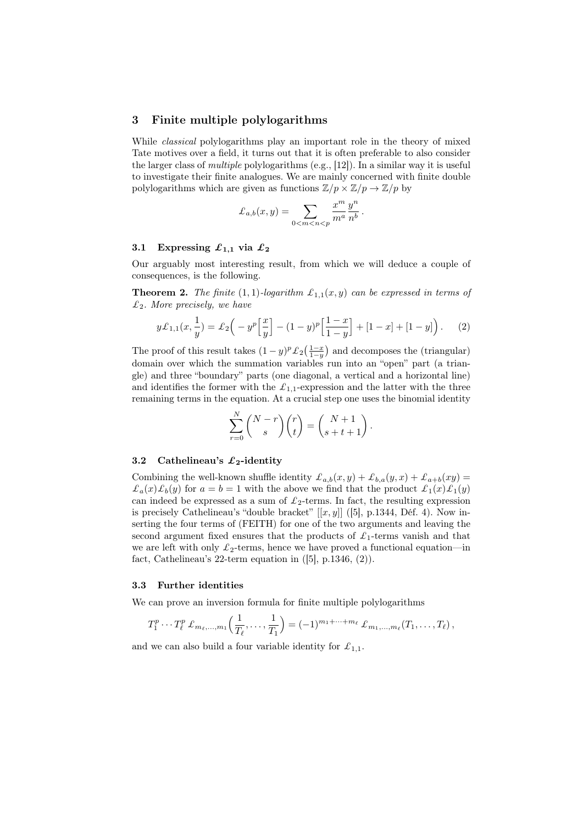## 3 Finite multiple polylogarithms

While *classical* polylogarithms play an important role in the theory of mixed Tate motives over a field, it turns out that it is often preferable to also consider the larger class of *multiple* polylogarithms (e.g., [12]). In a similar way it is useful to investigate their finite analogues. We are mainly concerned with finite double polylogarithms which are given as functions  $\mathbb{Z}/p \times \mathbb{Z}/p \to \mathbb{Z}/p$  by

$$
\mathcal{L}_{a,b}(x,y) = \sum_{0 < m < n < p} \frac{x^m}{m^a} \frac{y^n}{n^b} \, .
$$

#### 3.1 Expressing  $\mathcal{L}_{1,1}$  via  $\mathcal{L}_2$

Our arguably most interesting result, from which we will deduce a couple of consequences, is the following.

**Theorem 2.** *The finite* (1,1)*-logarithm*  $\mathcal{L}_{1,1}(x,y)$  *can be expressed in terms of £*2*. More precisely, we have*

$$
y\mathcal{L}_{1,1}(x,\frac{1}{y}) = \mathcal{L}_2\left(-y^p\left[\frac{x}{y}\right] - (1-y)^p\left[\frac{1-x}{1-y}\right] + [1-x] + [1-y]\right). \tag{2}
$$

The proof of this result takes  $(1 - y)^p \mathcal{L}_2\left(\frac{1 - x}{1 - y}\right)$  and decomposes the (triangular) domain over which the summation variables run into an "open" part (a triangle) and three "boundary" parts (one diagonal, a vertical and a horizontal line) and identifies the former with the  $\mathcal{L}_{1,1}$ -expression and the latter with the three remaining terms in the equation. At a crucial step one uses the binomial identity

$$
\sum_{r=0}^{N} {N-r \choose s} {r \choose t} = {N+1 \choose s+t+1}.
$$

#### 3.2 Cathelineau's *£***2**-identity

Combining the well-known shuffle identity  $\mathcal{L}_{a,b}(x,y) + \mathcal{L}_{b,a}(y,x) + \mathcal{L}_{a+b}(xy) =$  $\mathcal{L}_a(x)\mathcal{L}_b(y)$  for  $a=b=1$  with the above we find that the product  $\mathcal{L}_1(x)\mathcal{L}_1(y)$ can indeed be expressed as a sum of  $\mathcal{L}_2$ -terms. In fact, the resulting expression is precisely Cathelineau's "double bracket"  $[[x, y]]$  ([5], p.1344, Déf. 4). Now inserting the four terms of (FEITH) for one of the two arguments and leaving the second argument fixed ensures that the products of  $\mathcal{L}_1$ -terms vanish and that we are left with only  $\mathcal{L}_2$ -terms, hence we have proved a functional equation—in fact, Cathelineau's 22-term equation in  $([5], p.1346, (2))$ .

#### 3.3 Further identities

We can prove an inversion formula for finite multiple polylogarithms

$$
T_1^p \cdots T_\ell^p \pounds_{m_\ell, \ldots, m_1} \left( \frac{1}{T_\ell}, \ldots, \frac{1}{T_1} \right) = (-1)^{m_1 + \cdots + m_\ell} \pounds_{m_1, \ldots, m_\ell} (T_1, \ldots, T_\ell),
$$

and we can also build a four variable identity for  $\mathcal{L}_{1,1}$ .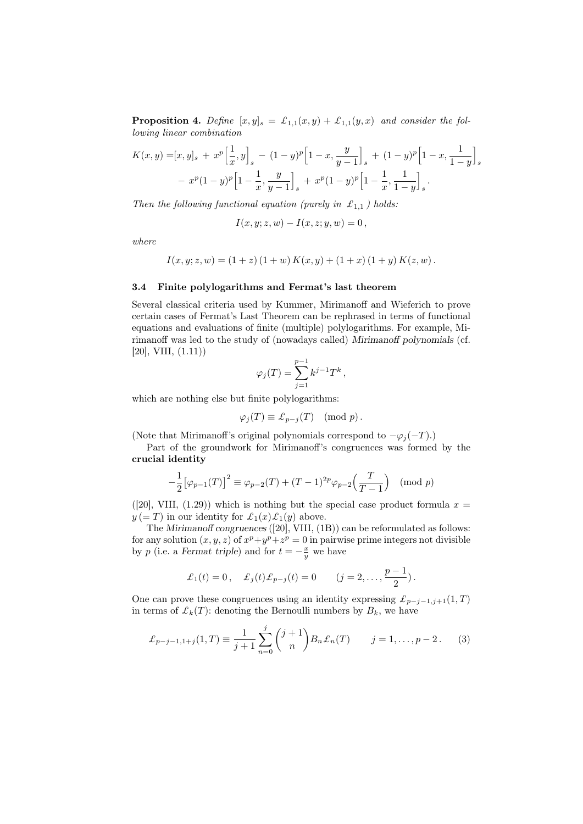**Proposition 4.** Define  $[x, y]_s = \mathcal{L}_{1,1}(x, y) + \mathcal{L}_{1,1}(y, x)$  and consider the fol*lowing linear combination*

$$
K(x,y) = [x,y]_s + x^p \left[\frac{1}{x},y\right]_s - (1-y)^p \left[1-x, \frac{y}{y-1}\right]_s + (1-y)^p \left[1-x, \frac{1}{1-y}\right]_s
$$
  
-  $x^p (1-y)^p \left[1-\frac{1}{x}, \frac{y}{y-1}\right]_s + x^p (1-y)^p \left[1-\frac{1}{x}, \frac{1}{1-y}\right]_s.$ 

*Then the following functional equation (purely in*  $\mathcal{L}_{1,1}$ ) holds:

$$
I(x, y; z, w) - I(x, z; y, w) = 0,
$$

*where*

$$
I(x, y; z, w) = (1 + z) (1 + w) K(x, y) + (1 + x) (1 + y) K(z, w).
$$

#### 3.4 Finite polylogarithms and Fermat's last theorem

Several classical criteria used by Kummer, Mirimanoff and Wieferich to prove certain cases of Fermat's Last Theorem can be rephrased in terms of functional equations and evaluations of finite (multiple) polylogarithms. For example, Mirimanoff was led to the study of (nowadays called) *Mirimanoff polynomials* (cf.  $[20]$ , VIII,  $(1.11)$ 

$$
\varphi_j(T) = \sum_{j=1}^{p-1} k^{j-1} T^k,
$$

which are nothing else but finite polylogarithms:

$$
\varphi_j(T) \equiv \pounds_{p-j}(T) \pmod{p}.
$$

(Note that Mirimanoff's original polynomials correspond to  $-\varphi_j(-T)$ .)

Part of the groundwork for Mirimanoff's congruences was formed by the crucial identity

$$
-\frac{1}{2} [\varphi_{p-1}(T)]^2 \equiv \varphi_{p-2}(T) + (T-1)^{2p} \varphi_{p-2}\left(\frac{T}{T-1}\right) \pmod{p}
$$

([20], VIII, (1.29)) which is nothing but the special case product formula  $x =$  $y (= T)$  in our identity for  $\mathcal{L}_1(x)\mathcal{L}_1(y)$  above.

The *Mirimanoff congruences* ([20], VIII, (1B)) can be reformulated as follows: for any solution  $(x, y, z)$  of  $x^p + y^p + z^p = 0$  in pairwise prime integers not divisible by *p* (i.e. a *Fermat triple*) and for  $t = -\frac{x}{y}$  we have

$$
\pounds_1(t) = 0
$$
,  $\pounds_j(t)\pounds_{p-j}(t) = 0$   $(j = 2,..., \frac{p-1}{2})$ .

One can prove these congruences using an identity expressing  $\mathcal{L}_{p-j-1,j+1}(1,T)$ in terms of  $\mathcal{L}_k(T)$ : denoting the Bernoulli numbers by  $B_k$ , we have

$$
\pounds_{p-j-1,1+j}(1,T) \equiv \frac{1}{j+1} \sum_{n=0}^{j} {j+1 \choose n} B_n \pounds_n(T) \qquad j=1,\ldots,p-2. \tag{3}
$$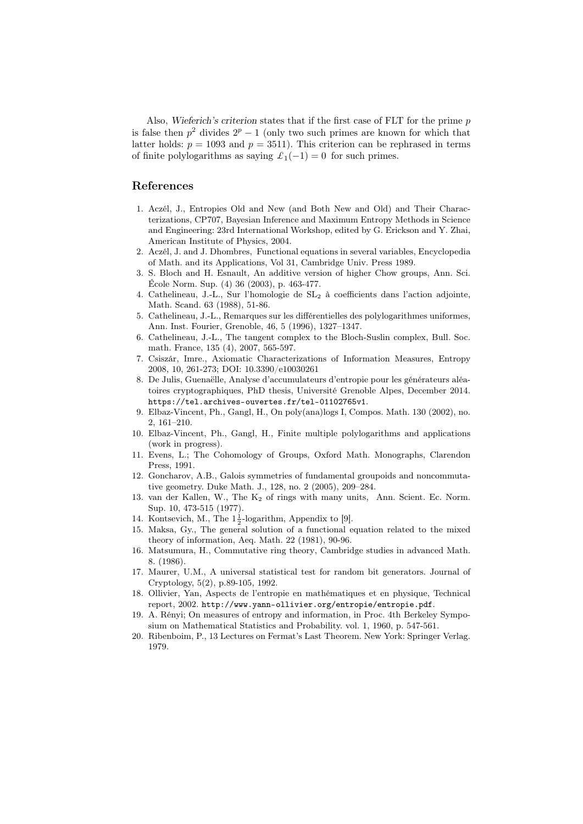Also, *Wieferich's criterion* states that if the first case of FLT for the prime *p* is false then  $p^2$  divides  $2^p - 1$  (only two such primes are known for which that latter holds:  $p = 1093$  and  $p = 3511$ ). This criterion can be rephrased in terms of finite polylogarithms as saying  $\mathcal{L}_1(-1) = 0$  for such primes.

## References

- 1. Aczél, J., Entropies Old and New (and Both New and Old) and Their Characterizations, CP707, Bayesian Inference and Maximum Entropy Methods in Science and Engineering: 23rd International Workshop, edited by G. Erickson and Y. Zhai, American Institute of Physics, 2004.
- 2. Aczél, J. and J. Dhombres, Functional equations in several variables, Encyclopedia of Math. and its Applications, Vol 31, Cambridge Univ. Press 1989.
- 3. S. Bloch and H. Esnault, An additive version of higher Chow groups, Ann. Sci. École Norm. Sup. (4) 36 (2003), p. 463-477.
- 4. Cathelineau, J.-L., Sur l'homologie de SL<sup>2</sup> à coefficients dans l'action adjointe, Math. Scand. 63 (1988), 51-86.
- 5. Cathelineau, J.-L., Remarques sur les différentielles des polylogarithmes uniformes, Ann. Inst. Fourier, Grenoble, 46, 5 (1996), 1327–1347.
- 6. Cathelineau, J.-L., The tangent complex to the Bloch-Suslin complex, Bull. Soc. math. France, 135 (4), 2007, 565-597.
- 7. Csiszár, Imre., Axiomatic Characterizations of Information Measures, Entropy 2008, 10, 261-273; DOI: 10.3390/e10030261
- 8. De Julis, Guenaëlle, Analyse d'accumulateurs d'entropie pour les générateurs aléatoires cryptographiques, PhD thesis, Université Grenoble Alpes, December 2014. https://tel.archives-ouvertes.fr/tel-01102765v1.
- 9. Elbaz-Vincent, Ph., Gangl, H., On poly(ana)logs I, Compos. Math. 130 (2002), no. 2, 161–210.
- 10. Elbaz-Vincent, Ph., Gangl, H., Finite multiple polylogarithms and applications (work in progress).
- 11. Evens, L.; The Cohomology of Groups, Oxford Math. Monographs, Clarendon Press, 1991.
- 12. Goncharov, A.B., Galois symmetries of fundamental groupoids and noncommutative geometry. Duke Math. J., 128, no. 2 (2005), 209–284.
- 13. van der Kallen, W., The K<sup>2</sup> of rings with many units, Ann. Scient. Ec. Norm. Sup. 10, 473-515 (1977).
- 14. Kontsevich, M., The  $1\frac{1}{2}$ -logarithm, Appendix to [9].
- 15. Maksa, Gy., The general solution of a functional equation related to the mixed theory of information, Aeq. Math. 22 (1981), 90-96.
- 16. Matsumura, H., Commutative ring theory, Cambridge studies in advanced Math. 8. (1986).
- 17. Maurer, U.M., A universal statistical test for random bit generators. Journal of Cryptology, 5(2), p.89-105, 1992.
- 18. Ollivier, Yan, Aspects de l'entropie en mathématiques et en physique, Technical report, 2002. http://www.yann-ollivier.org/entropie/entropie.pdf.
- 19. A. Rényi; On measures of entropy and information, in Proc. 4th Berkeley Symposium on Mathematical Statistics and Probability. vol. 1, 1960, p. 547-561.
- 20. Ribenboim, P., 13 Lectures on Fermat's Last Theorem. New York: Springer Verlag. 1979.